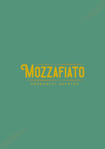

## SERENGETI ESTATES